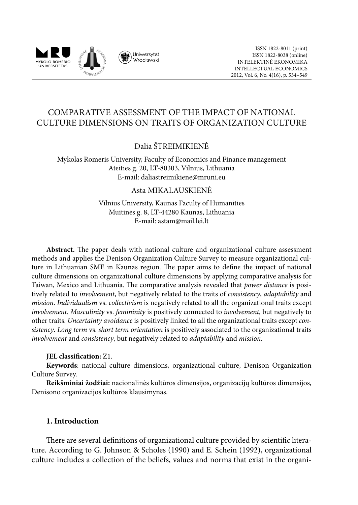

# COMPARATIVE ASSESSMENT OF THE IMPACT OF NATIONAL CULTURE DIMENSIONS ON TRAITS OF ORGANIZATION CULTURE

## Dalia ŠTREIMIKIENĖ

Mykolas Romeris University, Faculty of Economics and Finance management Ateities g. 20, LT-80303, Vilnius, Lithuania E-mail: [daliastreimikiene@mruni.eu](mailto:daliastreimikiene@mruni.eu)

### Asta MIKALAUSKIENĖ

Vilnius University, Kaunas Faculty of Humanities Muitinės g. 8, LT-44280 Kaunas, Lithuania E-mail: astam@mail.lei.lt

**Abstract.** The paper deals with national culture and organizational culture assessment methods and applies the Denison Organization Culture Survey to measure organizational culture in Lithuanian SME in Kaunas region. The paper aims to define the impact of national culture dimensions on organizational culture dimensions by applying comparative analysis for Taiwan, Mexico and Lithuania. The comparative analysis revealed that *power distance* is positively related to *involvement*, but negatively related to the traits of *consistency*, *adaptability* and *mission*. *Individualism* vs. *collectivism* is negatively related to all the organizational traits except *involvement*. *Masculinity* vs. *femininity* is positively connected to *involvement*, but negatively to other traits. *Uncertainty avoidance* is positively linked to all the organizational traits except *consistency*. *Long term* vs. *short term orientation* is positively associated to the organizational traits *involvement* and *consistency*, but negatively related to *adaptability* and *mission*.

#### **JEL classification:** Z1.

**Keywords**: national culture dimensions, organizational culture, Denison Organization Culture Survey.

**Reikšminiai žodžiai:** nacionalinės kultūros dimensijos, organizacijų kultūros dimensijos, Denisono organizacijos kultūros klausimynas.

### **1. Introduction**

There are several definitions of organizational culture provided by scientific literature. According to G. Johnson & Scholes (1990) and E. Schein (1992), organizational culture includes a collection of the beliefs, values and norms that exist in the organi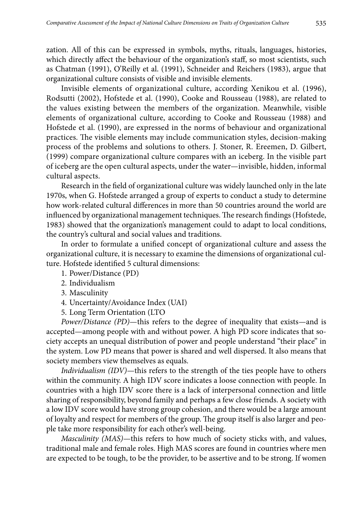zation. All of this can be expressed in symbols, myths, rituals, languages, histories, which directly affect the behaviour of the organization's staff, so most scientists, such as Chatman (1991), O'Reilly et al. (1991), Schneider and Reichers (1983), argue that organizational culture consists of visible and invisible elements.

Invisible elements of organizational culture, according Xenikou et al. (1996), Rodsutti (2002), Hofstede et al. (1990), Cooke and Rousseau (1988), are related to the values existing between the members of the organization. Meanwhile, visible elements of organizational culture, according to Cooke and Rousseau (1988) and Hofstede et al. (1990), are expressed in the norms of behaviour and organizational practices. The visible elements may include communication styles, decision-making process of the problems and solutions to others. J. Stoner, R. Ereemen, D. Gilbert, (1999) compare organizational culture compares with an iceberg. In the visible part of iceberg are the open cultural aspects, under the water—invisible, hidden, informal cultural aspects.

Research in the field of organizational culture was widely launched only in the late 1970s, when G. Hofstede arranged a group of experts to conduct a study to determine how work-related cultural differences in more than 50 countries around the world are influenced by organizational management techniques. The research findings (Hofstede, 1983) showed that the organization's management could to adapt to local conditions, the country's cultural and social values and traditions.

In order to formulate a unified concept of organizational culture and assess the organizational culture, it is necessary to examine the dimensions of organizational culture. Hofstede identified 5 cultural dimensions:

- 1. Power/Distance (PD)
- 2. Individualism
- 3. Masculinity
- 4. Uncertainty/Avoidance Index (UAI)
- 5. Long Term Orientation (LTO

*Power/Distance (PD)*—this refers to the degree of inequality that exists—and is accepted—among people with and without power. A high PD score indicates that society accepts an unequal distribution of power and people understand "their place" in the system. Low PD means that power is shared and well dispersed. It also means that society members view themselves as equals.

*Individualism (IDV)*—this refers to the strength of the ties people have to others within the community. A high IDV score indicates a loose connection with people. In countries with a high IDV score there is a lack of interpersonal connection and little sharing of responsibility, beyond family and perhaps a few close friends. A society with a low IDV score would have strong group cohesion, and there would be a large amount of loyalty and respect for members of the group. The group itself is also larger and people take more responsibility for each other's well-being.

*Masculinity (MAS)*—this refers to how much of society sticks with, and values, traditional male and female roles. High MAS scores are found in countries where men are expected to be tough, to be the provider, to be assertive and to be strong. If women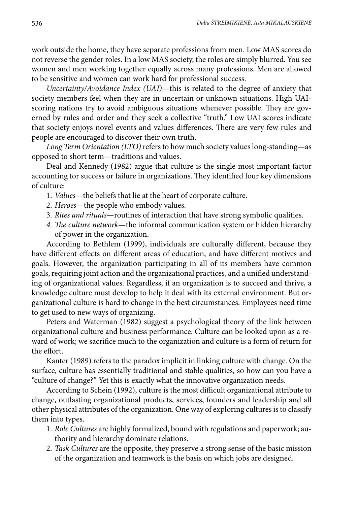work outside the home, they have separate professions from men. Low MAS scores do not reverse the gender roles. In a low MAS society, the roles are simply blurred. You see women and men working together equally across many professions. Men are allowed to be sensitive and women can work hard for professional success.

*Uncertainty/Avoidance Index (UAI)*—this is related to the degree of anxiety that society members feel when they are in uncertain or unknown situations. High UAIscoring nations try to avoid ambiguous situations whenever possible. They are governed by rules and order and they seek a collective "truth." Low UAI scores indicate that society enjoys novel events and values differences. There are very few rules and people are encouraged to discover their own truth.

*Long Term Orientation (LTO)* refers to how much society values long-standing—as opposed to short term—traditions and values.

Deal and Kennedy (1982) argue that culture is the single most important factor accounting for success or failure in organizations. They identified four key dimensions of culture:

- 1. *Values*—the beliefs that lie at the heart of corporate culture.
- 2. *Heroes*—the people who embody values.
- 3. *Rites and rituals*—routines of interaction that have strong symbolic qualities.
- *4. The culture network*—the informal communication system or hidden hierarchy of power in the organization.

According to Bethlem (1999), individuals are culturally different, because they have different effects on different areas of education, and have different motives and goals. However, the organization participating in all of its members have common goals, requiring joint action and the organizational practices, and a unified understanding of organizational values. Regardless, if an organization is to succeed and thrive, a knowledge culture must develop to help it deal with its external environment. But organizational culture is hard to change in the best circumstances. Employees need time to get used to new ways of organizing.

Peters and Waterman (1982) suggest a psychological theory of the link between organizational culture and business performance. Culture can be looked upon as a reward of work; we sacrifice much to the organization and culture is a form of return for the effort.

Kanter (1989) refers to the paradox implicit in linking culture with change. On the surface, culture has essentially traditional and stable qualities, so how can you have a "culture of change?" Yet this is exactly what the innovative organization needs.

According to Schein (1992), culture is the most difficult organizational attribute to change, outlasting organizational products, services, founders and leadership and all other physical attributes of the organization. One way of exploring cultures is to classify them into types.

- 1. *Role Cultures* are highly formalized, bound with regulations and paperwork; authority and hierarchy dominate relations.
- 2. *Task Cultures* are the opposite, they preserve a strong sense of the basic mission of the organization and teamwork is the basis on which jobs are designed.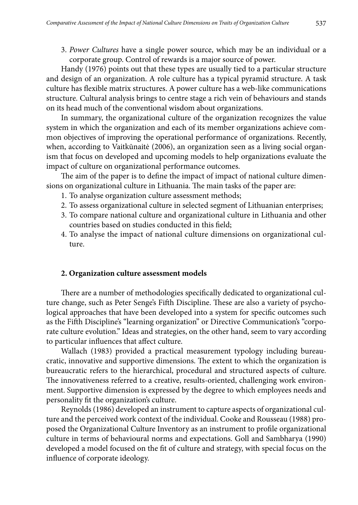3. *Power Cultures* have a single power source, which may be an individual or a corporate group. Control of rewards is a major source of power.

Handy (1976) points out that these types are usually tied to a particular structure and design of an organization. A role culture has a typical pyramid structure. A task culture has flexible matrix structures. A power culture has a web-like communications structure. Cultural analysis brings to centre stage a rich vein of behaviours and stands on its head much of the conventional wisdom about organizations.

In summary, the organizational culture of the organization recognizes the value system in which the organization and each of its member organizations achieve common objectives of improving the operational performance of organizations. Recently, when, according to Vaitkūnaitė (2006), an organization seen as a living social organism that focus on developed and upcoming models to help organizations evaluate the impact of culture on organizational performance outcomes.

The aim of the paper is to define the impact of impact of national culture dimensions on organizational culture in Lithuania. The main tasks of the paper are:

- 1. To analyse organization culture assessment methods;
- 2. To assess organizational culture in selected segment of Lithuanian enterprises;
- 3. To compare national culture and organizational culture in Lithuania and other countries based on studies conducted in this field;
- 4. To analyse the impact of national culture dimensions on organizational culture.

### **2. Organization culture assessment models**

There are a number of methodologies specifically dedicated to organizational culture change, such as Peter Senge's Fifth Discipline. These are also a variety of psychological approaches that have been developed into a system for specific outcomes such as the Fifth Discipline's "learning organization" or Directive Communication's "corporate culture evolution." Ideas and strategies, on the other hand, seem to vary according to particular influences that affect culture.

Wallach (1983) provided a practical measurement typology including bureaucratic, innovative and supportive dimensions. The extent to which the organization is bureaucratic refers to the hierarchical, procedural and structured aspects of culture. The innovativeness referred to a creative, results-oriented, challenging work environment. Supportive dimension is expressed by the degree to which employees needs and personality fit the organization's culture.

Reynolds (1986) developed an instrument to capture aspects of organizational culture and the perceived work context of the individual. Cooke and Rousseau (1988) proposed the Organizational Culture Inventory as an instrument to profile organizational culture in terms of behavioural norms and expectations. Goll and Sambharya (1990) developed a model focused on the fit of culture and strategy, with special focus on the influence of corporate ideology.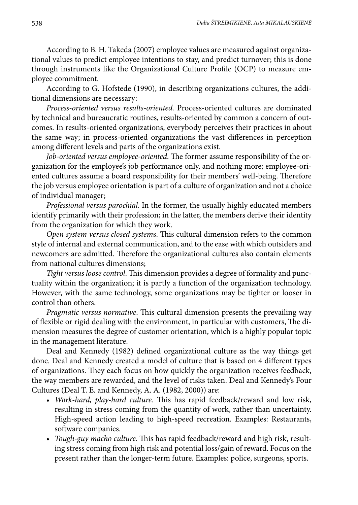According to B. H. Takeda (2007) employee values are measured against organizational values to predict employee intentions to stay, and predict turnover; this is done through instruments like the Organizational Culture Profile (OCP) to measure employee commitment.

According to G. Hofstede (1990), in describing organizations cultures, the additional dimensions are necessary:

*Process-oriented versus results-oriented.* Process-oriented cultures are dominated by technical and bureaucratic routines, results-oriented by common a concern of outcomes. In results-oriented organizations, everybody perceives their practices in about the same way; in process-oriented organizations the vast differences in perception among different levels and parts of the organizations exist.

*Job-oriented versus employee-oriented*. The former assume responsibility of the organization for the employee's job performance only, and nothing more; employee-oriented cultures assume a board responsibility for their members' well-being. Therefore the job versus employee orientation is part of a culture of organization and not a choice of individual manager;

*Professional versus parochial*. In the former, the usually highly educated members identify primarily with their profession; in the latter, the members derive their identity from the organization for which they work.

*Open system versus closed system*s. This cultural dimension refers to the common style of internal and external communication, and to the ease with which outsiders and newcomers are admitted. Therefore the organizational cultures also contain elements from national cultures dimensions;

*Tight versus loose control*. This dimension provides a degree of formality and punctuality within the organization; it is partly a function of the organization technology. However, with the same technology, some organizations may be tighter or looser in control than others.

*Pragmatic versus normative*. This cultural dimension presents the prevailing way of flexible or rigid dealing with the environment, in particular with customers, The dimension measures the degree of customer orientation, which is a highly popular topic in the management literature.

Deal and Kennedy (1982) defined organizational culture as the way things get done. Deal and Kennedy created a model of culture that is based on 4 different types of organizations. They each focus on how quickly the organization receives feedback, the way members are rewarded, and the level of risks taken. Deal and Kennedy's Four Cultures (Deal T. E. and Kennedy, A. A. (1982, 2000)) are:

- • *Work-hard, play-hard culture*. This has rapid feedback/reward and low risk, resulting in stress coming from the quantity of work, rather than uncertainty. High-speed action leading to high-speed recreation. Examples: Restaurants, software companies.
- • *Tough-guy macho culture*. This has rapid feedback/reward and high risk, resulting stress coming from high risk and potential loss/gain of reward. Focus on the present rather than the longer-term future. Examples: police, surgeons, sports.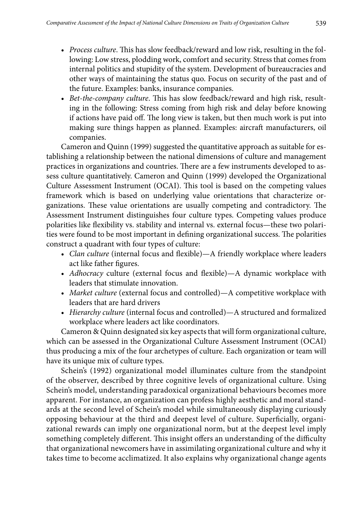- • *Process culture*. This has slow feedback/reward and low risk, resulting in the following: Low stress, plodding work, comfort and security. Stress that comes from internal politics and stupidity of the system. Development of bureaucracies and other ways of maintaining the status quo. Focus on security of the past and of the future. Examples: banks, insurance companies.
- • *Bet-the-company culture*. This has slow feedback/reward and high risk, resulting in the following: Stress coming from high risk and delay before knowing if actions have paid off. The long view is taken, but then much work is put into making sure things happen as planned. Examples: aircraft manufacturers, oil companies.

Cameron and Quinn (1999) suggested the quantitative approach as suitable for establishing a relationship between the national dimensions of culture and management practices in organizations and countries. There are a few instruments developed to assess culture quantitatively. Cameron and Quinn (1999) developed the Organizational Culture Assessment Instrument (OCAI). This tool is based on the competing values framework which is based on underlying value orientations that characterize organizations. These value orientations are usually competing and contradictory. The Assessment Instrument distinguishes four culture types. Competing values produce polarities like flexibility vs. stability and internal vs. external focus—these two polarities were found to be most important in defining organizational success. The polarities construct a quadrant with four types of culture:

- • *Clan culture* (internal focus and flexible)—A friendly workplace where leaders act like father figures.
- • *Adhocracy* culture (external focus and flexible)—A dynamic workplace with leaders that stimulate innovation.
- • *Market culture* (external focus and controlled)—A competitive workplace with leaders that are hard drivers
- • *Hierarchy culture* (internal focus and controlled)—A structured and formalized workplace where leaders act like coordinators.

Cameron & Quinn designated six key aspects that will form organizational culture, which can be assessed in the Organizational Culture Assessment Instrument (OCAI) thus producing a mix of the four archetypes of culture. Each organization or team will have its unique mix of culture types.

Schein's (1992) organizational model illuminates culture from the standpoint of the observer, described by three cognitive levels of organizational culture. Using Schein's model, understanding paradoxical organizational behaviours becomes more apparent. For instance, an organization can profess highly aesthetic and moral standards at the second level of Schein's model while simultaneously displaying curiously opposing behaviour at the third and deepest level of culture. Superficially, organizational rewards can imply one organizational norm, but at the deepest level imply something completely different. This insight offers an understanding of the difficulty that organizational newcomers have in assimilating organizational culture and why it takes time to become acclimatized. It also explains why organizational change agents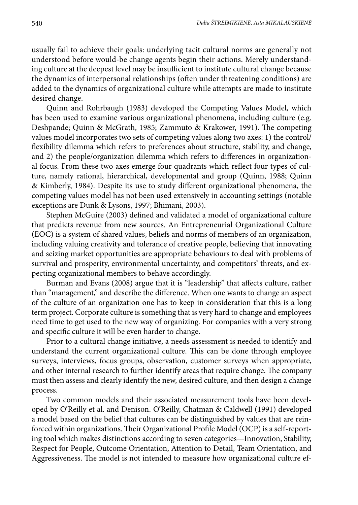usually fail to achieve their goals: underlying tacit cultural norms are generally not understood before would-be change agents begin their actions. Merely understanding culture at the deepest level may be insufficient to institute cultural change because the dynamics of interpersonal relationships (often under threatening conditions) are added to the dynamics of organizational culture while attempts are made to institute desired change.

Quinn and Rohrbaugh (1983) developed the Competing Values Model, which has been used to examine various organizational phenomena, including culture (e.g. Deshpande; Quinn & McGrath, 1985; Zammuto & Krakower, 1991). The competing values model incorporates two sets of competing values along two axes: 1) the control/ flexibility dilemma which refers to preferences about structure, stability, and change, and 2) the people/organization dilemma which refers to differences in organizational focus. From these two axes emerge four quadrants which reflect four types of culture, namely rational, hierarchical, developmental and group (Quinn, 1988; Quinn & Kimberly, 1984). Despite its use to study different organizational phenomena, the competing values model has not been used extensively in accounting settings (notable exceptions are Dunk & Lysons, 1997; Bhimani, 2003).

Stephen McGuire (2003) defined and validated a model of organizational culture that predicts revenue from new sources. An Entrepreneurial Organizational Culture (EOC) is a system of shared values, beliefs and norms of members of an organization, including valuing creativity and tolerance of creative people, believing that innovating and seizing market opportunities are appropriate behaviours to deal with problems of survival and prosperity, environmental uncertainty, and competitors' threats, and expecting organizational members to behave accordingly.

Burman and Evans (2008) argue that it is "leadership" that affects culture, rather than "management," and describe the difference. When one wants to change an aspect of the culture of an organization one has to keep in consideration that this is a long term project. Corporate culture is something that is very hard to change and employees need time to get used to the new way of organizing. For companies with a very strong and specific culture it will be even harder to change.

Prior to a cultural change initiative, a needs assessment is needed to identify and understand the current organizational culture. This can be done through employee surveys, interviews, focus groups, observation, customer surveys when appropriate, and other internal research to further identify areas that require change. The company must then assess and clearly identify the new, desired culture, and then design a change process.

Two common models and their associated measurement tools have been developed by O'Reilly et al. and Denison. O'Reilly, Chatman & Caldwell (1991) developed a model based on the belief that cultures can be distinguished by values that are reinforced within organizations. Their Organizational Profile Model (OCP) is a self-reporting tool which makes distinctions according to seven categories—Innovation, Stability, Respect for People, Outcome Orientation, Attention to Detail, Team Orientation, and Aggressiveness. The model is not intended to measure how organizational culture ef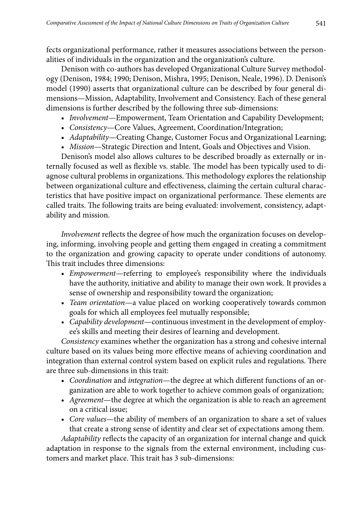fects organizational performance, rather it measures associations between the personalities of individuals in the organization and the organization's culture.

Denison with co-authors has developed Organizational Culture Survey methodology (Denison, 1984; 1990; Denison, Mishra, 1995; Denison, Neale, 1996). D. Denison's model (1990) asserts that organizational culture can be described by four general dimensions—Mission, Adaptability, Involvement and Consistency. Each of these general dimensions is further described by the following three sub-dimensions:

- • *Involvement*—Empowerment, Team Orientation and Capability Development;
- • *Consistency*—Core Values, Agreement, Coordination/Integration;
- *Adaptability*—Creating Change, Customer Focus and Organizational Learning;
- • *Mission*—Strategic Direction and Intent, Goals and Objectives and Vision.

Denison's model also allows cultures to be described broadly as externally or internally focused as well as flexible vs. stable. The model has been typically used to diagnose cultural problems in organizations. This methodology explores the relationship between organizational culture and effectiveness, claiming the certain cultural characteristics that have positive impact on organizational performance. These elements are called traits. The following traits are being evaluated: involvement, consistency, adaptability and mission.

*Involvement* reflects the degree of how much the organization focuses on developing, informing, involving people and getting them engaged in creating a commitment to the organization and growing capacity to operate under conditions of autonomy. This trait includes three dimensions:

- • *Empowerment—*referring to employee's responsibility where the individuals have the authority, initiative and ability to manage their own work. It provides a sense of ownership and responsibility toward the organization;
- • *Team orientation*—a value placed on working cooperatively towards common goals for which all employees feel mutually responsible;
- • *Capability development*—continuous investment in the development of employee's skills and meeting their desires of learning and development.

*Consistency* examines whether the organization has a strong and cohesive internal culture based on its values being more effective means of achieving coordination and integration than external control system based on explicit rules and regulations. There are three sub-dimensions in this trait:

- • *Coordination* and *integration*—the degree at which different functions of an organization are able to work together to achieve common goals of organization;
- • *Agreement*—the degree at which the organization is able to reach an agreement on a critical issue;
- • *Core values*—the ability of members of an organization to share a set of values that create a strong sense of identity and clear set of expectations among them.

*Adaptability* reflects the capacity of an organization for internal change and quick adaptation in response to the signals from the external environment, including customers and market place. This trait has 3 sub-dimensions: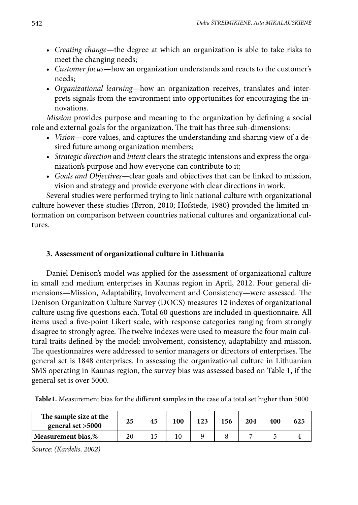- • *Creating change*—the degree at which an organization is able to take risks to meet the changing needs;
- • *Customer focus*—how an organization understands and reacts to the customer's needs;
- • *Organizational learning*—how an organization receives, translates and interprets signals from the environment into opportunities for encouraging the innovations.

*Mission* provides purpose and meaning to the organization by defining a social role and external goals for the organization. The trait has three sub-dimensions:

- • *Vision*—core values, and captures the understanding and sharing view of a desired future among organization members;
- • *Strategic direction* and *intent* clears the strategic intensions and express the organization's purpose and how everyone can contribute to it;
- • *Goals and Objectives*—clear goals and objectives that can be linked to mission, vision and strategy and provide everyone with clear directions in work.

Several studies were performed trying to link national culture with organizational culture however these studies (Brron, 2010; Hofstede, 1980) provided the limited information on comparison between countries national cultures and organizational cultures.

# **3. Assessment of organizational culture in Lithuania**

Daniel Denison's model was applied for the assessment of organizational culture in small and medium enterprises in Kaunas region in April, 2012. Four general dimensions—Mission, Adaptability, Involvement and Consistency—were assessed. The Denison Organization Culture Survey (DOCS) measures 12 indexes of organizational culture using five questions each. Total 60 questions are included in questionnaire. All items used a five-point Likert scale, with response categories ranging from strongly disagree to strongly agree. The twelve indexes were used to measure the four main cultural traits defined by the model: involvement, consistency, adaptability and mission. The questionnaires were addressed to senior managers or directors of enterprises. The general set is 1848 enterprises. In assessing the organizational culture in Lithuanian SMS operating in Kaunas region, the survey bias was assessed based on Table 1, if the general set is over 5000.

**Table1.** Measurement bias for the different samples in the case of a total set higher than 5000

| The sample size at the<br>general set $>5000$ | 25 | 45 | 100 | 123 | 156 | 204 | 400 | 625 |
|-----------------------------------------------|----|----|-----|-----|-----|-----|-----|-----|
| Measurement bias,%                            |    |    |     |     |     |     |     |     |

*Source: (Kardelis, 2002)*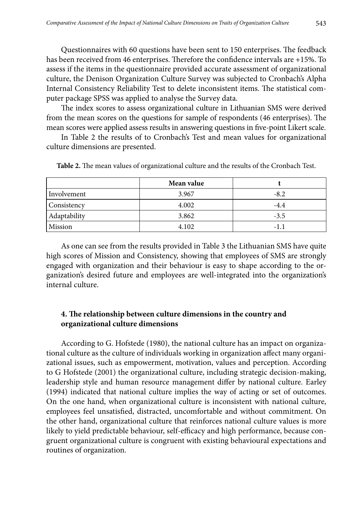Questionnaires with 60 questions have been sent to 150 enterprises. The feedback has been received from 46 enterprises. Therefore the confidence intervals are +15%. To assess if the items in the questionnaire provided accurate assessment of organizational culture, the Denison Organization Culture Survey was subjected to Cronbach's Alpha Internal Consistency Reliability Test to delete inconsistent items. The statistical computer package SPSS was applied to analyse the Survey data.

The index scores to assess organizational culture in Lithuanian SMS were derived from the mean scores on the questions for sample of respondents (46 enterprises). The mean scores were applied assess results in answering questions in five-point Likert scale.

In Table 2 the results of to Cronbach's Test and mean values for organizational culture dimensions are presented.

|              | Mean value |        |  |
|--------------|------------|--------|--|
| Involvement  | 3.967      | $-8.2$ |  |
| Consistency  | 4.002      | $-4.4$ |  |
| Adaptability | 3.862      | $-3.5$ |  |
| Mission      | 4.102      | -1.1   |  |

**Table 2.** The mean values of organizational culture and the results of the Cronbach Test.

As one can see from the results provided in Table 3 the Lithuanian SMS have quite high scores of Mission and Consistency, showing that employees of SMS are strongly engaged with organization and their behaviour is easy to shape according to the organization's desired future and employees are well-integrated into the organization's internal culture.

## **4. The relationship between culture dimensions in the country and organizational culture dimensions**

According to G. Hofstede (1980), the national culture has an impact on organizational culture as the culture of individuals working in organization affect many organizational issues, such as empowerment, motivation, values and perception. According to G Hofstede (2001) the organizational culture, including strategic decision-making, leadership style and human resource management differ by national culture. Earley (1994) indicated that national culture implies the way of acting or set of outcomes. On the one hand, when organizational culture is inconsistent with national culture, employees feel unsatisfied, distracted, uncomfortable and without commitment. On the other hand, organizational culture that reinforces national culture values is more likely to yield predictable behaviour, self-efficacy and high performance, because congruent organizational culture is congruent with existing behavioural expectations and routines of organization.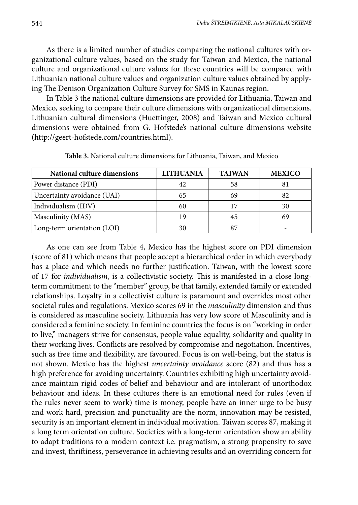As there is a limited number of studies comparing the national cultures with organizational culture values, based on the study for Taiwan and Mexico, the national culture and organizational culture values for these countries will be compared with Lithuanian national culture values and organization culture values obtained by applying The Denison Organization Culture Survey for SMS in Kaunas region.

In Table 3 the national culture dimensions are provided for Lithuania, Taiwan and Mexico, seeking to compare their culture dimensions with organizational dimensions. Lithuanian cultural dimensions (Huettinger, 2008) and Taiwan and Mexico cultural dimensions were obtained from G. Hofstede's national culture dimensions website (http://geert-hofstede.com/countries.html).

| National culture dimensions | <b>LITHUANIA</b> | <b>TAIWAN</b> | <b>MEXICO</b> |  |
|-----------------------------|------------------|---------------|---------------|--|
| Power distance (PDI)        | 42               | 58            |               |  |
| Uncertainty avoidance (UAI) | 65               | 69            | 82            |  |
| Individualism (IDV)         | 60               | 17            | 30            |  |
| Masculinity (MAS)           | 19               | 45            | 69            |  |
| Long-term orientation (LOI) | 30               | 87            |               |  |

**Table 3.** National culture dimensions for Lithuania, Taiwan, and Mexico

As one can see from Table 4, Mexico has the highest score on PDI dimension (score of 81) which means that people accept a hierarchical order in which everybody has a place and which needs no further justification. Taiwan, with the lowest score of 17 for *individualism*, is a collectivistic society. This is manifested in a close longterm commitment to the "member" group, be that family, extended family or extended relationships. Loyalty in a collectivist culture is paramount and overrides most other societal rules and regulations. Mexico scores 69 in the *masculinity* dimension and thus is considered as masculine society. Lithuania has very low score of Masculinity and is considered a feminine society. In feminine countries the focus is on "working in order to live," managers strive for consensus, people value equality, solidarity and quality in their working lives. Conflicts are resolved by compromise and negotiation. Incentives, such as free time and flexibility, are favoured. Focus is on well-being, but the status is not shown. Mexico has the highest *uncertainty avoidance* score (82) and thus has a high preference for avoiding uncertainty. Countries exhibiting high uncertainty avoidance maintain rigid codes of belief and behaviour and are intolerant of unorthodox behaviour and ideas. In these cultures there is an emotional need for rules (even if the rules never seem to work) time is money, people have an inner urge to be busy and work hard, precision and punctuality are the norm, innovation may be resisted, security is an important element in individual motivation. Taiwan scores 87, making it a long term orientation culture. Societies with a long-term orientation show an ability to adapt traditions to a modern context i.e. pragmatism, a strong propensity to save and invest, thriftiness, perseverance in achieving results and an overriding concern for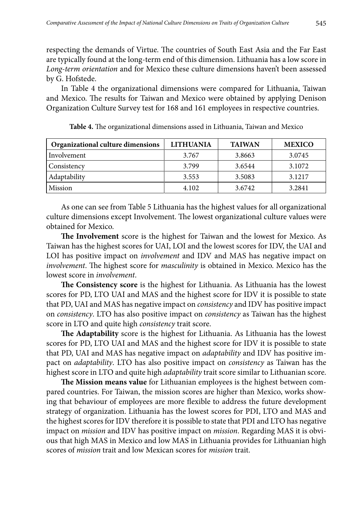respecting the demands of Virtue. The countries of South East Asia and the Far East are typically found at the long-term end of this dimension. Lithuania has a low score in *Long-term orientation* and for Mexico these culture dimensions haven't been assessed by G. Hofstede.

In Table 4 the organizational dimensions were compared for Lithuania, Taiwan and Mexico. The results for Taiwan and Mexico were obtained by applying Denison Organization Culture Survey test for 168 and 161 employees in respective countries.

| Organizational culture dimensions | <b>LITHUANIA</b> | <b>TAIWAN</b> | <b>MEXICO</b> |  |
|-----------------------------------|------------------|---------------|---------------|--|
| Involvement                       | 3.767            | 3.8663        | 3.0745        |  |
| Consistency                       | 3.799            | 3.6544        | 3.1072        |  |
| Adaptability                      | 3.553            | 3.5083        | 3.1217        |  |
| Mission                           | 4.102            | 3.6742        | 3.2841        |  |

**Table 4.** The organizational dimensions assed in Lithuania, Taiwan and Mexico

As one can see from Table 5 Lithuania has the highest values for all organizational culture dimensions except Involvement. The lowest organizational culture values were obtained for Mexico.

**The Involvement** score is the highest for Taiwan and the lowest for Mexico. As Taiwan has the highest scores for UAI, LOI and the lowest scores for IDV, the UAI and LOI has positive impact on *involvement* and IDV and MAS has negative impact on *involvement*. The highest score for *masculinity* is obtained in Mexico. Mexico has the lowest score in *involvement*.

**The Consistency score** is the highest for Lithuania. As Lithuania has the lowest scores for PD, LTO UAI and MAS and the highest score for IDV it is possible to state that PD, UAI and MAS has negative impact on *consistency* and IDV has positive impact on *consistency*. LTO has also positive impact on *consistency* as Taiwan has the highest score in LTO and quite high *consistency* trait score.

**The Adaptability** score is the highest for Lithuania. As Lithuania has the lowest scores for PD, LTO UAI and MAS and the highest score for IDV it is possible to state that PD, UAI and MAS has negative impact on *adaptability* and IDV has positive impact on *adaptability*. LTO has also positive impact on *consistency* as Taiwan has the highest score in LTO and quite high *adaptability* trait score similar to Lithuanian score.

**The Mission means value** for Lithuanian employees is the highest between compared countries. For Taiwan, the mission scores are higher than Mexico, works showing that behaviour of employees are more flexible to address the future development strategy of organization. Lithuania has the lowest scores for PDI, LTO and MAS and the highest scores for IDV therefore it is possible to state that PDI and LTO has negative impact on *mission* and IDV has positive impact on *mission*. Regarding MAS it is obvious that high MAS in Mexico and low MAS in Lithuania provides for Lithuanian high scores of *mission* trait and low Mexican scores for *mission* trait.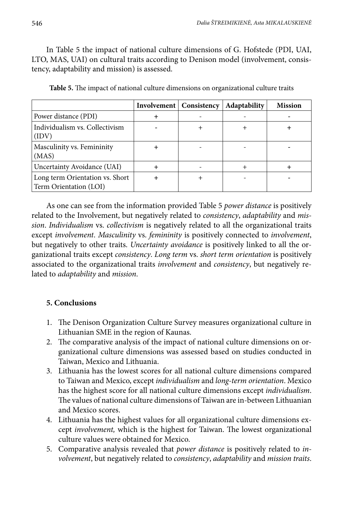In Table 5 the impact of national culture dimensions of G. Hofstede (PDI, UAI, LTO, MAS, UAI) on cultural traits according to Denison model (involvement, consistency, adaptability and mission) is assessed.

|                                                           | Involvement   Consistency | <b>Adaptability</b> | <b>Mission</b> |
|-----------------------------------------------------------|---------------------------|---------------------|----------------|
| Power distance (PDI)                                      |                           |                     |                |
| Individualism vs. Collectivism<br>(IDV)                   |                           |                     |                |
| Masculinity vs. Femininity<br>(MAS)                       |                           |                     |                |
| Uncertainty Avoidance (UAI)                               |                           |                     |                |
| Long term Orientation vs. Short<br>Term Orientation (LOI) |                           |                     |                |

**Table 5.** The impact of national culture dimensions on organizational culture traits

As one can see from the information provided Table 5 *power distance* is positively related to the Involvement, but negatively related to *consistency*, *adaptability* and *mission*. *Individualism* vs. *collectivism* is negatively related to all the organizational traits except *involvement*. *Masculinity* vs. *femininity* is positively connected to *involvement*, but negatively to other traits. *Uncertainty avoidance* is positively linked to all the organizational traits except *consistency*. *Long term* vs. *short term orientation* is positively associated to the organizational traits *involvement* and *consistency*, but negatively related to *adaptability* and *mission*.

# **5. Conclusions**

- 1. The Denison Organization Culture Survey measures organizational culture in Lithuanian SME in the region of Kaunas.
- 2. The comparative analysis of the impact of national culture dimensions on organizational culture dimensions was assessed based on studies conducted in Taiwan, Mexico and Lithuania.
- 3. Lithuania has the lowest scores for all national culture dimensions compared to Taiwan and Mexico, except *individualism* and *long-term orientation*. Mexico has the highest score for all national culture dimensions except *individualism*. The values of national culture dimensions of Taiwan are in-between Lithuanian and Mexico scores.
- 4. Lithuania has the highest values for all organizational culture dimensions except *involvement,* which is the highest for Taiwan. The lowest organizational culture values were obtained for Mexico.
- 5. Comparative analysis revealed that *power distance* is positively related to *involvement*, but negatively related to *consistency*, *adaptability* and *mission traits*.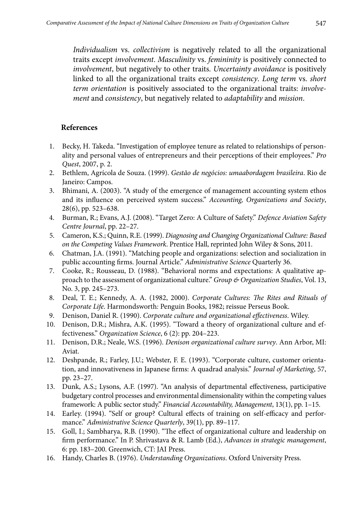*Individualism* vs. *collectivism* is negatively related to all the organizational traits except *involvement*. *Masculinity* vs. *femininity* is positively connected to *involvement*, but negatively to other traits. *Uncertainty avoidance* is positively linked to all the organizational traits except *consistency*. *Long term* vs. *short term orientation* is positively associated to the organizational traits: *involvement* and *consistency*, but negatively related to *adaptability* and *mission*.

### **References**

- 1. Becky, H. Takeda. "Investigation of employee tenure as related to relationships of personality and personal values of entrepreneurs and their perceptions of their employees." *Pro Quest*, 2007, p. 2.
- 2. Bethlem, Agrícola de Souza. (1999). *Gestão de negócios: umaabordagem brasileira*. Rio de Janeiro: Campos.
- 3. Bhimani, A. (2003). "A study of the emergence of management accounting system ethos and its influence on perceived system success." *Accounting, Organizations and Society*, 28(6), pp. 523–638.
- 4. Burman, R.; Evans, A.J. (2008). "Target Zero: A Culture of Safety." *Defence Aviation Safety Centre Journal*, pp. 22–27.
- 5. Cameron, K.S.; Quinn, R.E. (1999). *Diagnosing and Changing Organizational Culture: Based on the Competing Values Framework*. Prentice Hall, reprinted John Wiley & Sons, 2011.
- 6. Chatman, J.A. (1991). "Matching people and organizations: selection and socialization in public accounting firms. Journal Article." *Administrative Science* Quarterly 36.
- 7. Cooke, R.; Rousseau, D. (1988). "Behavioral norms and expectations: A qualitative approach to the assessment of organizational culture." *Group & Organization Studies*, Vol. 13, No. 3, pp. 245–273.
- 8. Deal, T. E.; Kennedy, A. A. (1982, 2000). *Corporate Cultures: The Rites and Rituals of Corporate Life*. Harmondsworth*:* Penguin Books, 1982; reissue Perseus Book.
- 9. Denison, Daniel R. (1990). *Corporate culture and organizational effectiveness*. Wiley.
- 10. Denison, D.R.; Mishra, A.K. (1995). "Toward a theory of organizational culture and effectiveness." *Organization Science*, 6 (2): pp. 204–223.
- 11. Denison, D.R.; Neale, W.S. (1996). *Denison organizational culture survey*. Ann Arbor, MI: Aviat.
- 12. Deshpande, R.; Farley, J.U.; Webster, F. E. (1993). "Corporate culture, customer orientation, and innovativeness in Japanese firms: A quadrad analysis." *Journal of Marketing*, 57, pp. 23–27.
- 13. Dunk, A.S.; Lysons, A.F. (1997). "An analysis of departmental effectiveness, participative budgetary control processes and environmental dimensionality within the competing values framework: A public sector study." *Financial Accountability, Management*, 13(1), pp. 1–15.
- 14. Earley. (1994). "Self or group? Cultural effects of training on self-efficacy and performance." *Administrative Science Quarterly*, 39(1), pp. 89–117.
- 15. Goll, I.; Sambharya, R.B. (1990). "The effect of organizational culture and leadership on firm performance." In P. Shrivastava & R. Lamb (Ed.), *Advances in strategic management*, 6: pp. 183–200. Greenwich, CT: JAI Press.
- 16. Handy, Charles B. (1976). *Understanding Organizations*. Oxford University Press.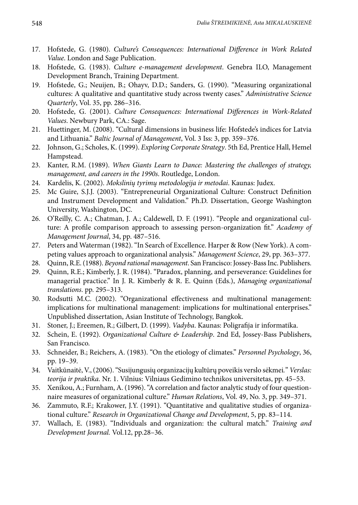- 17. Hofstede, G. (1980). *Culture's Consequences: International Difference in Work Related Value*. London and Sage Publication.
- 18. Hofstede, G. (1983). *Culture e-management development*. Genebra ILO, Management Development Branch, Training Department.
- 19. Hofstede, G.; Neuijen, B.; Ohayv, D.D.; Sanders, G. (1990). "Measuring organizational cultures: A qualitative and quantitative study across twenty cases." *Administrative Science Quarterly*, Vol. 35, pp. 286–316.
- 20. Hofstede, G. (2001). *Culture Consequences: International Differences in Work-Related Values*. Newbury Park, CA.: Sage.
- 21. Huettinger, M. (2008). "Cultural dimensions in business life: Hofstede's indices for Latvia and Lithuania." *Baltic Journal of Management*, Vol. 3 Iss: 3, pp. 359–376.
- 22. Johnson, G.; Scholes, K. (1999). *Exploring Corporate Strategy*. 5th Ed, Prentice Hall, Hemel Hampstead.
- 23. Kanter, R.M. (1989). *When Giants Learn to Dance: Mastering the challenges of strategy, management, and careers in the 1990s*. Routledge, London.
- 24. Kardelis, K. (2002). *Mokslinių tyrimų metodologija ir metodai*. Kaunas: Judex.
- 25. Mc Guire, S.J.J. (2003). "Entrepreneurial Organizational Culture: Construct Definition and Instrument Development and Validation." Ph.D. Dissertation, George Washington University, Washington, DC.
- 26. O'Reilly, C. A.; Chatman, J. A.; Caldewell, D. F. (1991). "People and organizational culture: A profile comparison approach to assessing person-organization fit." *Academy of Management Journal*, 34, pp. 487–516.
- 27. Peters and Waterman (1982). "In Search of Excellence. Harper & Row (New York). A competing values approach to organizational analysis." *Management Science*, 29, pp. 363–377.
- 28. Quinn, R.E.(1988). *Beyond rational management*. San Francisco: Jossey-Bass Inc. Publishers.
- 29. Quinn, R.E.; Kimberly, J. R. (1984). "Paradox, planning, and perseverance: Guidelines for managerial practice." In J. R. Kimberly & R. E. Quinn (Eds.), *Managing organizational translations*. pp. 295–313.
- 30. Rodsutti M.C. (2002). "Organizational effectiveness and multinational management: implications for multinational management: implications for multinational enterprises." Unpublished dissertation, Asian Institute of Technology, Bangkok.
- 31. Stoner, J.; Ereemen, R.; Gilbert, D. (1999). *Vadyba*. Kaunas: Poligrafija ir informatika.
- 32. Schein, E. (1992). *Organizational Culture & Leadership*. 2nd Ed, Jossey-Bass Publishers, San Francisco.
- 33. Schneider, B.; Reichers, A. (1983). "On the etiology of climates." *Personnel Psychology*, 36, pp. 19–39.
- 34. Vaitkūnaitė, V., (2006). "Susijungusių organizacijų kultūrų poveikis verslo sėkmei*.*" *Verslas: teorija ir praktika.* Nr. 1. Vilnius: Vilniaus Gedimino technikos universitetas, pp. 45–53.
- 35. Xenikou, A.; Furnham, A. (1996). "A correlation and factor analytic study of four questionnaire measures of organizational culture." *Human Relations*, Vol. 49, No. 3, pp. 349–371.
- 36. Zammuto, R.F.; Krakower, J.Y. (1991). "Quantitative and qualitative studies of organizational culture." *Research in Organizational Change and Development*, 5, pp. 83–114.
- 37. Wallach, E. (1983). "Individuals and organization: the cultural match." *Training and Development Journal.* Vol.12, pp.28–36.